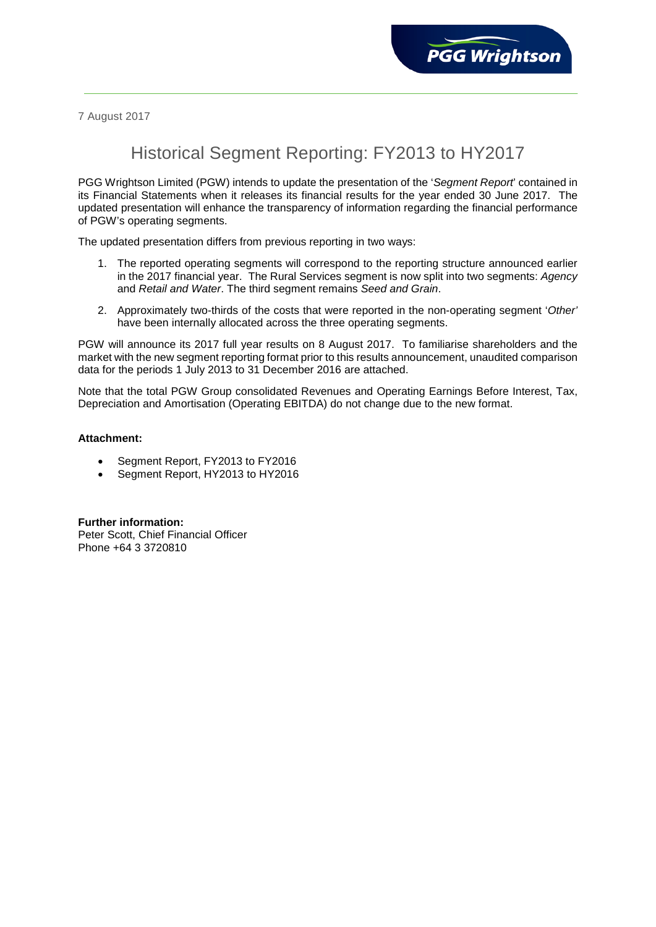7 August 2017

# Historical Segment Reporting: FY2013 to HY2017

PGG Wrightson Limited (PGW) intends to update the presentation of the '*Segment Report*' contained in its Financial Statements when it releases its financial results for the year ended 30 June 2017. The updated presentation will enhance the transparency of information regarding the financial performance of PGW's operating segments.

The updated presentation differs from previous reporting in two ways:

- 1. The reported operating segments will correspond to the reporting structure announced earlier in the 2017 financial year. The Rural Services segment is now split into two segments: *Agency* and *Retail and Water*. The third segment remains *Seed and Grain*.
- 2. Approximately two-thirds of the costs that were reported in the non-operating segment '*Other'* have been internally allocated across the three operating segments.

PGW will announce its 2017 full year results on 8 August 2017. To familiarise shareholders and the market with the new segment reporting format prior to this results announcement, unaudited comparison data for the periods 1 July 2013 to 31 December 2016 are attached.

Note that the total PGW Group consolidated Revenues and Operating Earnings Before Interest, Tax, Depreciation and Amortisation (Operating EBITDA) do not change due to the new format.

# **Attachment:**

- Segment Report, FY2013 to FY2016
- Segment Report, HY2013 to HY2016

**Further information:** Peter Scott, Chief Financial Officer Phone +64 3 3720810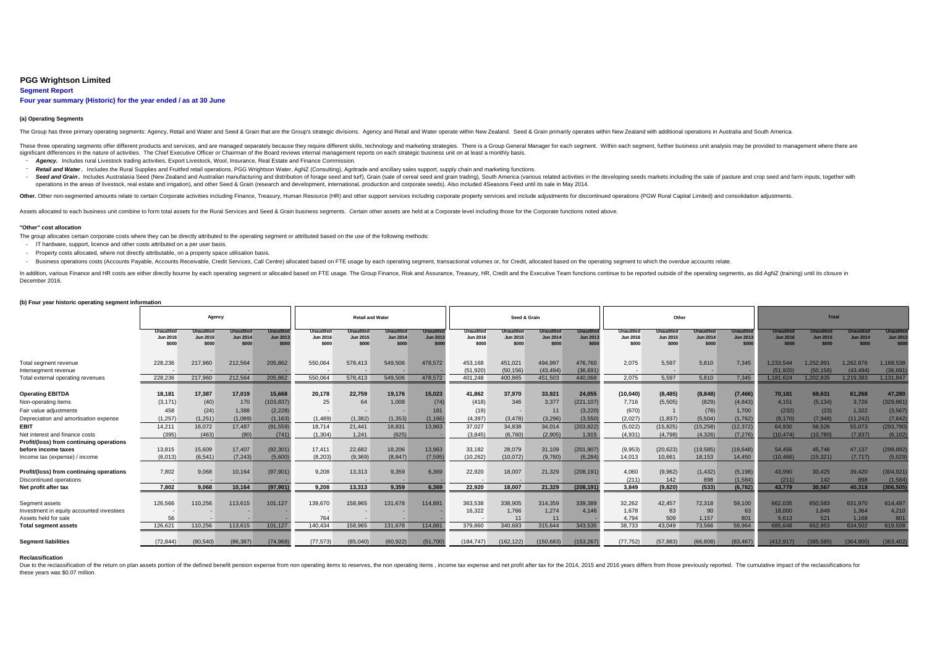## **PGG Wrightson Limited 3**

**Segment Report**

# **Four year summary (Historic) for the year ended / as at 30 June**

### **(a) Operating Segments**

The Group has three primary operating segments: Agency, Retail and Water and Seed & Grain that are the Group's strategic divisions. Agency and Retail and Water operate within New Zealand. Seed & Grain primarily operates wi

These three operating segments offer different products and services, and are managed separately because they require different skills, technology and marketing strategies. There is a Group General Manager for each segment significant differences in the nature of activities. The Chief Executive Officer or Chairman of the Board reviews internal management reports on each strategic business unit on at least a monthly basis.

- *Agency.* Includes rural Livestock trading activities, Export Livestock, Wool, Insurance, Real Estate and Finance Commission.
- Retail and Water. Includes the Rural Supplies and Fruitfed retail operations, PGG Wrightson Water, AgNZ (Consulting), Agritrade and ancillary sales support, supply chain and marketing functions.
- Seed and Grain. Includes Australasia Seed (New Zealand and Australian manufacturing and distribution of forage seed and turf), Grain (sale of cereal seed and grain trading), South America (various related activities in t operations in the areas of livestock, real estate and irrigation), and other Seed & Grain (research and development, international, production and corporate seeds). Also included 4Seasons Feed until its sale in May 2014.

Other. Other non-segmented amounts relate to certain Corporate activities including Finance, Treasury, Human Resource (HR) and other support services including corporate property services and include adjustments for discon

Assets allocated to each business unit combine to form total assets for the Rural Services and Seed & Grain business segments. Certain other assets are held at a Corporate level including those for the Corporate functions

#### **"Other" cost allocation**

The group allocates certain corporate costs where they can be directly attributed to the operating segment or attributed based on the use of the following methods:

- IT hardware, support, licence and other costs attributed on a per user basis.
- Property costs allocated, where not directly attributable, on a property space utilisation basis.

- Business operations costs (Accounts Payable, Accounts Receivable, Credit Services, Call Centre) allocated based on FTE usage by each operating segment, transactional volumes or, for Credit, allocated based on the operati

In addition, various Finance and HR costs are either directly boume by each operating segment or allocated based on FTE usage. The Group Finance, Risk and Assurance. Treasury, HR. Credit and the Executive Team functions co December 2016.

#### **(b) Four year historic operating segment information**

|                                                                                    | Agency                                       |                                       |                                              |                                             | <b>Retail and Water</b>               |                                |                                              |                                              |                                       | Seed & Grain                          |                                              |                                             |                                       | Other                                        |                                              |                                       | <b>Total</b>                        |                                     |                                              |                                              |  |
|------------------------------------------------------------------------------------|----------------------------------------------|---------------------------------------|----------------------------------------------|---------------------------------------------|---------------------------------------|--------------------------------|----------------------------------------------|----------------------------------------------|---------------------------------------|---------------------------------------|----------------------------------------------|---------------------------------------------|---------------------------------------|----------------------------------------------|----------------------------------------------|---------------------------------------|-------------------------------------|-------------------------------------|----------------------------------------------|----------------------------------------------|--|
|                                                                                    | <b>Unaudited</b><br><b>Jun 2016</b><br>\$000 | Jnauditec<br><b>Jun 2015</b><br>\$000 | <b>Unaudited</b><br><b>Jun 2014</b><br>\$000 | <b>Unaudite</b><br><b>Jun 2013</b><br>\$000 | Unaudited<br><b>Jun 2016</b><br>\$000 | Unaudited<br>Jun 2015<br>\$000 | <b>Unaudited</b><br><b>Jun 2014</b><br>\$000 | <b>Unaudited</b><br><b>Jun 2013</b><br>\$000 | <b>Unaudited</b><br>Jun 2016<br>\$000 | Jnaudited<br><b>Jun 2015</b><br>\$000 | <b>Unaudited</b><br><b>Jun 2014</b><br>\$000 | <b>Unaudite</b><br><b>Jun 2013</b><br>\$000 | <b>Unaudited</b><br>Jun 2016<br>\$000 | <b>Jnaudited</b><br><b>Jun 2015</b><br>\$000 | <b>Unaudited</b><br><b>Jun 2014</b><br>\$000 | Unaudited<br><b>Jun 2013</b><br>\$000 | naudite<br><b>Jun 2016</b><br>\$000 | <b>Jun 2015</b><br>\$000            | <b>Jnauditer</b><br><b>Jun 2014</b><br>\$000 | <b>Unaudited</b><br><b>Jun 2013</b><br>\$000 |  |
| Total segment revenue<br>Intersegment revenue<br>Total external operating revenues | 228,236<br>228,236                           | 217,960<br>217.960                    | 212,564<br>212.564                           | 205,862<br>205.862                          | 550,064<br>550.064                    | 578,413<br>578,413             | 549,506<br>549,506                           | 478,572<br>478,572                           | 453,168<br>(51, 920)<br>401.248       | 451,021<br>(50, 156)<br>400.865       | 494,997<br>(43, 494)<br>451.503              | 476,760<br>(36,691)<br>440.068              | 2,075<br>2.075                        | 5,597<br>5.597                               | 5,810<br>5.810                               | 7.345<br>7.345                        | 1.233.544<br>(51.920)<br>1.181.624  | 1.252.991<br>(50, 156)<br>1.202.835 | ,262,876<br>(43, 494)<br>1.219.383           | 1,168,538<br>(36, 691)<br>1,131,847          |  |
| <b>Operating EBITDA</b>                                                            | 18,181                                       | 17,387                                | 17,019                                       | 15.668                                      | 20,178                                | 22,759                         | 19,176                                       | 15,023                                       | 41,862                                | 37,970                                | 33,921                                       | 24,055                                      | (10, 040)                             | (8, 485)                                     | (8, 848)                                     | (7, 466)                              | 70,181                              | 69,631                              | 61.268                                       | 47,280                                       |  |
| Non-operating items                                                                | (3, 171)                                     | (40)                                  | 170                                          | (103, 837)                                  | 25                                    | 64                             | 1,008                                        | (74)                                         | (418)                                 | 346                                   | 3,377                                        | (221, 107)                                  | 7,716                                 | (5,505)                                      | (829)                                        | (4, 843)                              | 4.151                               | (5, 134)                            | 3,726                                        | (329, 861)                                   |  |
| Fair value adjustments                                                             | 458                                          | (24)                                  | 1,388                                        | (2, 228)                                    |                                       |                                |                                              | 181                                          | (19)                                  |                                       | 11                                           | (3,220)                                     | (670)                                 |                                              | (78)                                         | 1.700                                 | (232)                               | (23)                                | 1.322                                        | (3, 567)                                     |  |
| Depreciation and amortisation expense                                              | (1, 257)                                     | (1.251)                               | (1,089)                                      | (1, 163)                                    | (1,489)                               | (1, 382)                       | (1, 353)                                     | (1, 166)                                     | (4, 397)                              | (3.478)                               | (3.296)                                      | (3.550)                                     | (2.027)                               | (1, 837)                                     | (5,504)                                      | (1.762)                               | (9.170)                             | (7.948)                             | (11.242)                                     | (7,642)                                      |  |
| <b>EBIT</b>                                                                        | 14.211                                       | 16.072                                | 17.487                                       | (91.559)                                    | 18.714                                | 21.441                         | 18,831                                       | 13.963                                       | 37.027                                | 34,838                                | 34,014                                       | (203, 822)                                  | (5,022)                               | (15, 825)                                    | (15, 258)                                    | (12.372)                              | 64.930                              | 56.526                              | 55,073                                       | (293.790)                                    |  |
| Net interest and finance costs                                                     | (395)                                        | (463)                                 | (80)                                         | (741)                                       | (1, 304)                              | 1,241                          | (625)                                        |                                              | (3,845)                               | (6,760)                               | (2,905)                                      | 1,915                                       | (4,931)                               | (4,798)                                      | (4,326)                                      | (7, 276)                              | (10, 474)                           | (10, 780)                           | (7, 937)                                     | (6, 102)                                     |  |
| Profit/(loss) from continuing operations<br>before income taxes                    | 13,815                                       | 15,609                                | 17,407                                       | (92, 301)                                   | 17,411                                | 22,682                         | 18,206                                       | 13.963                                       | 33,182                                | 28,079                                | 31,109                                       | (201, 907)                                  | (9,953)                               | (20, 623)                                    | (19, 585)                                    | (19, 648)                             | 54.456                              | 45.746                              | 47,137                                       | (299, 892)                                   |  |
| Income tax (expense) / income                                                      | (6,013)                                      | (6.541)                               | (7, 243)                                     | (5,600)                                     | (8.203)                               | (9,369)                        | (8, 847)                                     | (7, 595)                                     | (10, 262)                             | (10,072)                              | (9,780)                                      | (6.284)                                     | 14.013                                | 10.661                                       | 18.153                                       | 14,450                                | (10, 466)                           | (15.321)                            | (7, 717)                                     | (5,029)                                      |  |
| Profit/(loss) from continuing operations<br>Discontinued operations                | 7,802                                        | 9,068                                 | 10,164                                       | (97, 901)                                   | 9,208                                 | 13,313                         | 9,359                                        | 6,369                                        | 22,920                                | 18,007                                | 21,329                                       | (208, 191)                                  | 4,060<br>(211)                        | (9,962)<br>142                               | (1, 432)<br>898                              | (5, 198)<br>(1,584)                   | 43,990<br>(211)                     | 30.425<br>142                       | 39,420<br>898                                | (304, 921)<br>(1,584)                        |  |
| Net profit after tax                                                               | 7.802                                        | 9.068                                 | 10,164                                       | (97, 901)                                   | 9.208                                 | 13.313                         | 9.359                                        | 6.369                                        | 22.920                                | 18.007                                | 21.329                                       | (208, 191)                                  | 3.849                                 | (9,820)                                      | (533)                                        | (6, 782)                              | 43.779                              | 30.567                              | 40.318                                       | (306, 505)                                   |  |
| Seament assets                                                                     | 126,566                                      | 110,256                               | 113,615                                      | 101.127                                     | 139,670                               | 158,965                        | 131,678                                      | 114,881                                      | 363,538<br>16,322                     | 338,905<br>1,766                      | 314,359<br>1,274                             | 339.389<br>4.146                            | 32.262<br>1,678                       | 42,457                                       | 72,318                                       | 59,100                                | 662.035<br>18,000                   | 650.583                             | 631.970<br>1,364                             | 614.497<br>4,210                             |  |
| Investment in equity accounted investees<br>Assets held for sale                   | 56                                           |                                       |                                              |                                             | 764                                   |                                |                                              |                                              |                                       |                                       | 11                                           |                                             | 4.794                                 | 83<br>509                                    | 90<br>1.157                                  | 63                                    | 5.613                               | 1,849<br>521                        | 1.168                                        | 801                                          |  |
| <b>Total segment assets</b>                                                        | 126,621                                      | 110.256                               | 113,615                                      | 101.127                                     | 140,434                               | 158,965                        | 131,678                                      | 114,881                                      | 379,860                               | 340,683                               | 315,644                                      | 343,535                                     | 38,733                                | 43.049                                       | 73,566                                       | 59,964                                | 685,648                             | 652.953                             | 634.502                                      | 619,508                                      |  |
| <b>Segment liabilities</b>                                                         | (72, 844)                                    | (80.540)                              | (86, 387)                                    | (74.968)                                    | (77, 573)                             | (85,040)                       | (60.922)                                     | (51,700)                                     | (184, 747)                            | (162, 122)                            | (150, 683)                                   | (153, 267)                                  | (77, 752)                             | (57, 883)                                    | (66, 808)                                    | (83, 467)                             | (412.917)                           | (385.585)                           | (364, 800)                                   | (363, 402)                                   |  |

#### **Reclassification**

Due to the reclassification of the return on plan assets portion of the defined benefit pension expense from non operating items to reserves, the non operating items, income tax expense and net profit after tax for the 201 these years was \$0.07 million.